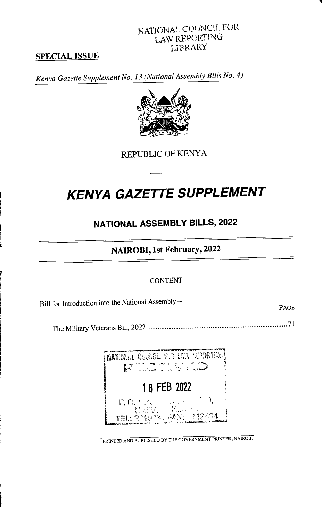### NATIONAL COUNCIL FOR LAW REPORTING LIBRARY

### **SPECIAL ISSUE**

Kenya Gazette Supplement No. 13 (National Assembly Bills No. 4)



REPUBLIC OF KENYA

# **KENYA GAZETTE SUPPLEMENT**

### **NATIONAL ASSEMBLY BILLS, 2022**

### NAIROBI, 1st February, 2022

#### **CONTENT**

Bill for Introduction into the National Assembly-

PAGE



PRINTED AND PUBLISHED BY THE GOVERNMENT PRINTER, NAIROBI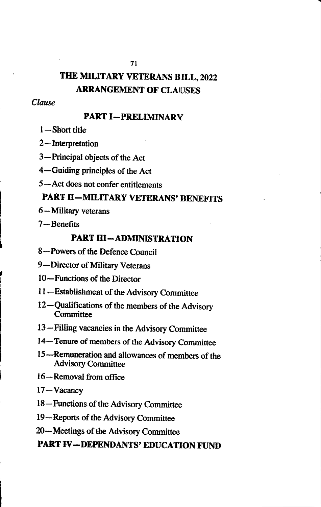# THE MILITARY VETERANS BILL, 2022 **ARRANGEMENT OF CLAUSES**

#### Clause

#### **PART I-PRELIMINARY**

- $1 -$ Short title
- $2$ -Interpretation
- 3-Principal objects of the Act
- 4-Guiding principles of the Act
- 5-Act does not confer entitlements

## **PART II-MILITARY VETERANS' BENEFITS**

- 6-Military veterans
- $7 -$ Benefits

### **PART III-ADMINISTRATION**

- 8-Powers of the Defence Council
- 9-Director of Military Veterans
- 10—Functions of the Director
- 11-Establishment of the Advisory Committee
- 12-Qualifications of the members of the Advisory Committee
- 13-Filling vacancies in the Advisory Committee
- 14—Tenure of members of the Advisory Committee
- 15—Remuneration and allowances of members of the **Advisory Committee**
- 16-Removal from office
- 17-Vacancy
- 18-Functions of the Advisory Committee
- 19-Reports of the Advisory Committee
- 20—Meetings of the Advisory Committee

### **PART IV-DEPENDANTS' EDUCATION FUND**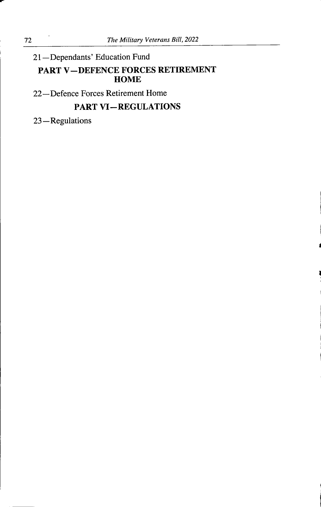## 21-Dependants' Education Fund **PART V-DEFENCE FORCES RETIREMENT HOME**

22-Defence Forces Retirement Home

### **PART VI-REGULATIONS**

23-Regulations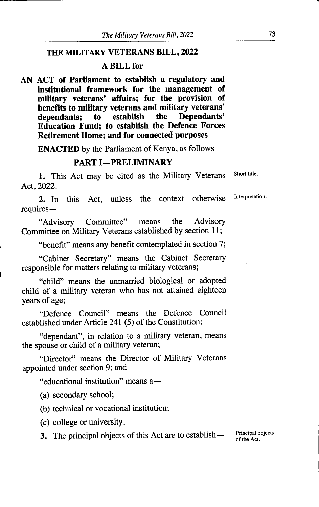### THE MILITARY VETERANS BILL, 2022

#### A BILL for

AN ACT of Parliament to establish a regulatory and institutional framework for the management of military veterans' affairs; for the provision of benefits to military veterans and military veterans'<br>dependants: to establish the Dependants' dependants; to establish the Dependants' Education Fund; to establish the Defence Forces Retirement Home; and for connected purposes

**ENACTED** by the Parliament of Kenya, as follows—

#### PART I-PRELIMINARY

1. This Act may be cited as the Military Veterans Act, 2022. Short title.

2. In this Act, unless the context otherwise Interpretation. requires—

"Advisory Committee" means the Advisory Committee on Military Veterans established by section 11;

"benefit" means any benefit contemplated in section 7;

"Cabinet Secretary" means the Cabinet Secretary responsible for matters relating to military veterans;

"child" means the unmarried biological or adopted child of a military veteran who has not attained eighteen years of age;

"Defence Council" means the Defence Council established under Article 241 (5) of the Constitution;

"dependant", in relation to a military veteran, means the spouse or child of a military veteran;

"Director" means the Director of Military Veterans appointed under section 9; and

"educational institution" means a—

(a) secondary school;

I

(b) technical or vocational institution;

(c) college or university.

3. The principal objects of this Act are to establish — Principal objects

of the Act.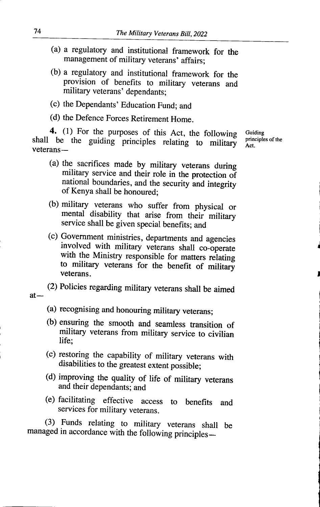- (a) a regulatory and institutional framework for the management of military veterans' affairs;
- (b) a regulatory and institutional framework for the provision of benefits to military veterans and military veterans' dependants;
- (c) the Dependants' Education Fund; and
- (d) the Defence Forces Retirement Home.

4. (1) For the purposes of this Act, the following shall be the guiding principles relating to military veterans-

- (a) the sacrifices made by military veterans during military service and their role in the protection of national boundaries, and the security and integrity of Kenya shall be honoured;
- (b) military veterans who suffer from physical  $\alpha$ mental disability that arise from their military service shall be given special benefits; and
- (c) Government ministries, departmentsand agencies involved with military veterans shall co-operate with the Ministry responsible for matters relating to military veterans for the benefit of military veterans.
- (2) Policies regarding military veterans shall be aimed  $at -$ 
	- (a) recognising and honouring military veterans;
	- (b) ensuring the smooth and seamless transition of military veterans from military service to civilian life:
	- (c) restoring the capability of military veterans with disabilities to the greatest extent possible;
	- (d) improving the quality of life of military veterans and their dependants; and
	- (e) facilitating effective access to benefits and services for military veterans.

(3) Funds relating to military veterans shall be managed in accordance with the following principles**Guiding** principles of the Act.

J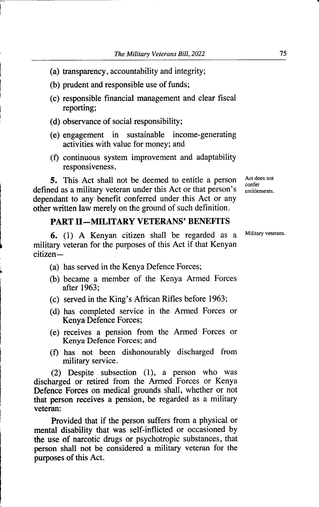- (a) transparency, accountability and integrity;
- (b) prudent and responsible use of funds;
- (c) responsible financial management and clear fiscal reporting;
- (d) observance of social responsibility;
- (e) engagement in sustainable income-generating activities with value for money; and
- (f) continuous system improvement and adaptability responsiveness.

5. This Act shall not be deemed to entitle a person defined as a military veteran under this Act or that person's dependant to any benefit conferred under this Act or any other written law merely on the ground of such definition.

#### PART II-MILITARY VETERANS' BENEFITS

6. (1) A Kenyan citizen shall be regarded as a military veteran for the purposes of this Act if that Kenyan  $c$ itizen —

- (a) has served in the Kenya Defence Forces;
- (b) became a member of the Kenya Armed Forces after 1963;
- (c) served in the King's African Rifles before  $1963$ ;
- (d) has completed service in the Armed Forces or Kenya Defence Forces;
- (e) receives a pension from the Armed Forces or Kenya Defence Forces; and
- (f) has not been dishonourably discharged from military service.

(2) Despite subsection (1), a person who was discharged or retired from the Armed Forces or Kenya Defence Forces on medical grounds shall, whether or not that person receives a pension, be regarded as a military veteran:

Provided that if the person suffers from a physical of mental disability that was self-inflicted or occasioned by the use of narcotic drugs or psychotropic substances, that person shall not be considered a military veteran for the purposes of this Act.

Military veterans.

Act does not confer entitlements.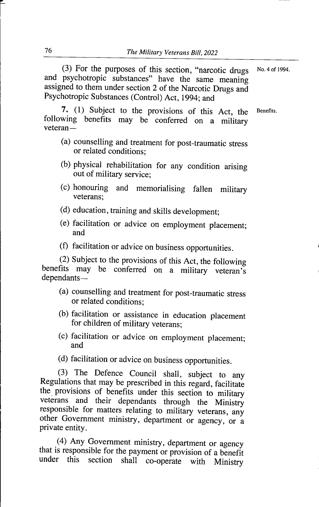(3) For the purposes of this section, "narcotic drugs and psychotropic substances" have the same meaning assigned to them under section 2 of the Narcotic Drugs and Psychotropic Substances (Control) Act, 1994; and No. 4 of 1994.

7. (1) Subject to the provisions of this Act, the following benefits may be conferred on a military  $v$  et  $eran$  —

- (a) counselling and treatment for post-traumatic stress or related conditions.
- (b) physical rehabilitation for any condition arising out of military service;
- (c) honouring and memorialising fallen military veterans:
- (d) education, training and skills development;
- (e) facilitation or advice on employment placement; an d
- (f) facilitation or advice on business opportunities.

(2) Subject to the provisions of this Act, the following benefits may be conferred on a military veteran's dependants—

- (a) counselling and treatment for post-traumatic stress or related conditions;
- (b) facilitation or assistance in education placement for children of military veterans;
- (c) facilitation or advice on employment placement; and
- (d) facilitation or advice on business opportunities.

(3) The Defence Council shall, subject to any Regulations that may be prescribed in this regard, facilitate the provisions of benefits under this section to military veterans and their dependants through the Ministry responsible for matters relating to military veterans, any other Government ministry, department or agency, or <sup>a</sup> private entity.

(4) Any Government ministry, department or agency that is responsible for the payment or provision of a benefit under this section shall co-operate with Ministry

**Benefits**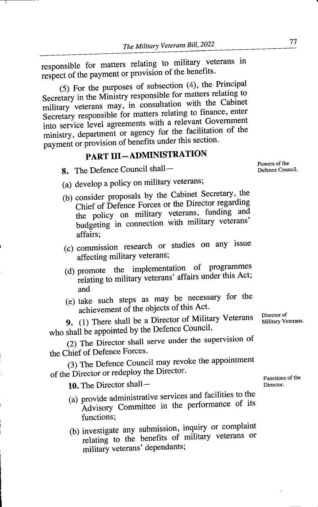responsible for matters relating to military veterans in<br>responsible to measure of provision of the benefits. respect of the payment or provision of the benefits.

 $(5)$  For the purposes of subsection  $(4)$ , the Principal (5) For the purposes Secretary in the Ministry responsible for matters relating to<br>consultation with the Cabine military veterans may, in consultation with the Cabinet Secretary responsible for matters relating to finance, enter-<br>Secretary responsible for matter with a relevant Governmen into service level agreements with a relevant Government ministry, department or agency for the facilitation of the payment or provision of benefits under this section.

# PART III-ADMINISTRATION

8. The Defence Council shall-

- (a) develop a policy on military veterans;
- (b) consider proposals by the Cabinet Secretary, the Chief of Defence Forces or the Director regarding the policy on military veterans, funding and budgeting in connection with military veterans' affairs;
- (c) commission research or studies on any issue affecting military veterans;
- (d) promote the implementation of programmes relating to military veterans' affairs under this Act; and
- (e) take such steps as may be necessary for the achievement of the objects of this Act.

9. (1) There shall be a Director of Military Veterans who shall be appointed by the Defence Council.

(2) The Director shall serve under the supervision of the Chief of Defence Forces.

(3) The Defence Council may revoke the appointment of the Director or redeploy the Director.

**10.** The Director shall —  $\qquad \qquad$  Director.

- (a) provide administrative services and facilities to the  $\frac{1}{100}$ Advisory Committee in the performance of its functions;
- (b) investigate any submission, inquiry or complaint relating to the benefits of military veterans or military veterans' dependants;

Director of Military Veterans.

Functions of the<br>Director.

Powers of the<br>Defence Council.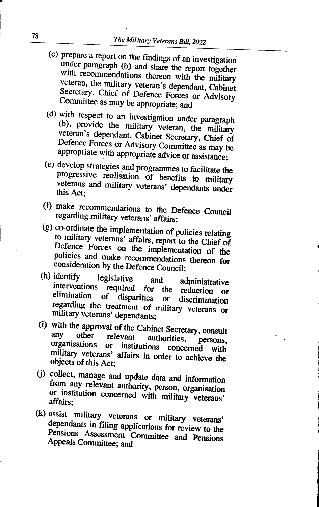- (c) prepare a report on the findings of an investigation under paragraph (b) and share the report together with recommendations thereon with the military veteran, the military veteran's dependant, Cabinet Secretary, Chief of Defence Forces or Advisory Committee as may be appropriate; and
- (d) with respect to an investigation under paragraph (b), provide the military veteran, the military veteran's dependant, Cabinet Secretary, Chief of Defence Forces or Advisory Committee as may be appropriate with appropriate advice or assistance;
- (e) develop strategies and programmes to facilitate the progressive realisation of benefits to military veterans and military veterans' dependants under<br>this Act:
- (f) make recommendations to the Defence Council regarding military veterans' affairs;
- (g) co-ordinate the implementation of policies relating to military veterans' affairs, report to the Chief of Defence Forces on the implementation of the policies and make recommendations thereon for consideration by the Defence Council;<br>(h) identify legislative and ad
- identify legislative and<br>interventions required for t administrative  $\frac{1}{2}$  interventions required for the reduction of elimination of disparities or discrimination regarding the treatment of military veterans or military veterans' dependants;
- (i) with the approval of the Cabinet Secretary, consult<br>any other relevant authorities, persons. organisations or institutions concerned with military veterans' affairs in order to achieve the objects of this Act;
- (j) collect, manage and update data and information from any relevant authority, person, organisation or institution concerned with military veterans'<br>affairs:
- $(x)$  assist military veterans or military veterans' dependants in filing applications for review to the Pensions Assessment Committee and PensionsAppeals Committee; and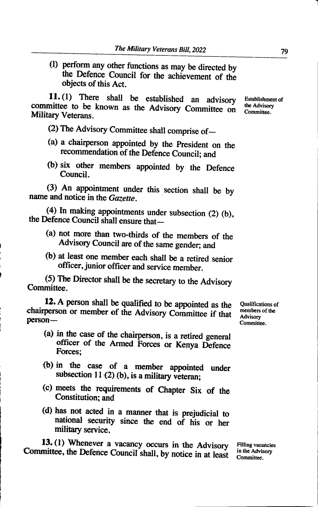(1) perform any other functions as may be directed by the Defence Council for the achievement of the objects of this Act.

11. (1) There shall be established an advisory Establishment committee to be known as the Advisory Committee on Military Veterans.

(2) The Advisory Committee shall comprise of  $-$ 

- (a) a chairperson appointed by the President on the recommendation of the Defence Council; and
- (b) six other members appointed by the Defence Council.

(3) An appointment under this section shall be by name and notice in the Gazette.

(4) In making appointments under subsection  $(2)$  (b), the Defence Council shall ensure that—

- (a) not more than two-thirds of the members of the Advisory Council are of the same gender; and
- (b) at least one member each shall be a retired senior officer, junior officer and service member.

(5) The Director shall be the secretary to the Advisory Committee.

12. A person shall be qualified to be appointed as the Qualifications of members of the  $\Delta$  dvisory Committee if that members of the chairperson or member of the Advisory Committee if that person-

- (a) in the case of the chairperson, is a retired general officer of the Armed Forces or Kenya Defence Forces;
- {b) in the case of a member appointed under subsection 11 $(2)$  (b), is a military veteran;
- (c) meets the requirements of Chapter Six of the Constitution; and
- (d) has not acted in a manner that is prejudicial to national security since the end of his or her military service.

13.(1) Whenever a vacancy occurs in the Advisory Filling vacancies<br>mittee, the Defence Council shall by potice in at last, in the Advisory Committee, the Defence Council shall, by notice in at least

Advisory Committee.

Establishment of Committee.

Committee.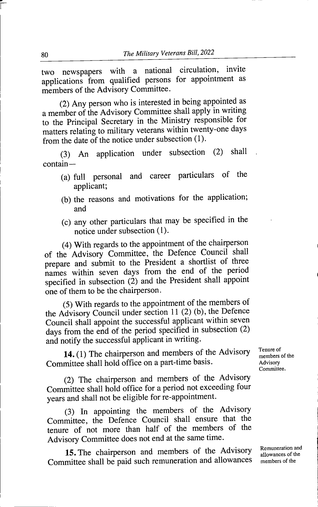two newspapers with a national circulation, invite applications from qualified persons for appointment as members of the Advisory Committee.

(2) Any person who is interested in being appointed as a member of the Advisory Committee shall apply in writing to the Principal Secretary in the Ministry responsible for matters relating to military veterans within twenty-one days from the date of the notice under subsection (1).

(3) An application under subsection (2) shall  $contain -$ 

- (a) full personal and career particulars of the applicant;
- (b) the reasons and motivations for the application; and
- $(c)$  any other particulars that may be specified in the notice under subsection (1).

(4) With regards to the appointment of the chairperson of the Advisory Committee, the Defence Council shall prepare and submit to the President a shortlist of three names within seven days from the end of the period specified in subsection (2) and the President shall appoint one of them to be the chairperson.

(5) With regards to the appointment of the members of the Advisory Council under section 11  $(2)$  (b), the Defence Council shall appoint the successful applicant within sever days from the end of the period specified in subsection  $(2)$ and notify the successful applicant in writing.

14. (1) The chairperson and members of the Advisory Committee shall hold office on a part-time basis.

(2) The chairperson and members of the Advisory Committee shall hold office for a period not exceeding four years and shall not be eligible for re-appointment.

(3) In appointing the members of the Advisory Committee, the Defence Council shall ensure that the tenure of not more than half of the members of the Advisory Committee does not end at the same time.

15.The chairperson and members of the Advisory Committee shall be paid such remuneration and allowances

Tenure of members of the Advisory Committee.

members of the Remuneration and allowances of the

r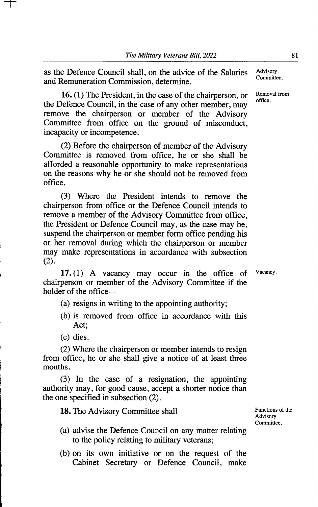as the Defence Council shall, on the advice of the Salaries and Remuneration Commission, determine.

16. (1) The President, in the case of the chairperson, or the Defence Council, in the case of any other member, may remove the chairperson or member of the Advisory Committee from office on the ground of misconduct, incapacity or incompetence.

(2) Before the chairperson of member of the Advisory Committee is removed from office, he or she shall be afforded a reasonable opportunity to make representations on the reasons why he or she should not be removed from office.

(3) Where the President intends to remove the chairperson from office or the Defence Council intends to remove a member of the Advisory Committee from office, the President or Defence Council may, as the case may be, suspend the chairperson or member form office pending his or her removal during which the chairperson or member may make representations in accordance with subsection  $(2)$ .

17. (1) A vacancy may occur in the office of chairperson or member of the Advisory Committee if the holder of the office—

- (a) resigns in writing to the appointing authority;
- (b) is removed from office in accordance with this Act;
- (c) dies.

(2) Where the chairperson or member intends to resign from office, he or she shall give a notice of at least three months.

(3) In the case of a resignation, the appointing authority may, for good cause, accept a shorter notice than the one specified in subsection (2).

18. The Advisory Committee shall — Functions of the

Advisory Committee.

- (a) advise the Defence Council on any matter relating to the policy relating to military veterans;
- (b) on its own initiative or on the request of the Cabinet Secretary or Defence Council, make

Advisory Committee.

Removal from office.

Vacancy.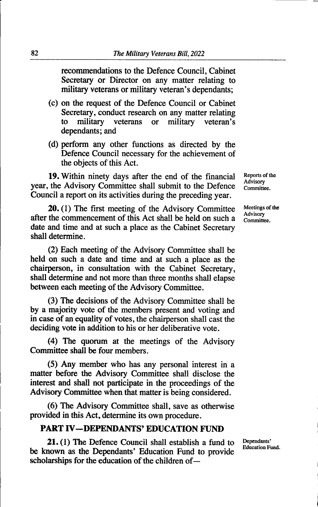recommendations to the Defence Council, Cabinet Secretary or Director on any matter relating to military veterans or military veteran's dependants;

- (c) on the request of the Defence Council or Cabinet Secretary, conduct research on any matter relating<br>to military veterans or military veteran's military veteran's dependants; and
- (d) perform any other functions as directed by the Defence Council necessary for the achievement of the objects of this Act.

19. Within ninety days after the end of the financial year, the Advisory Committee shall submit to the Defence Council a report on its activities during the preceding year.

20. (1) The first meeting of the Advisory Committee after the commencement of this Act shall be held on such a date and time and at such a place as the Cabinet Secretary shall determine.

(2) Each meeting of the Advisory Committee shall be held on such a date and time and at such a place as the chairperson, in consultation with the Cabinet Secretary, shall determine and not more than three months shall elapse between each meeting of the Advisory Committee.

(3) The decisions of the Advisory Committee shall be by a majority vote of the members present and voting and in case of an equality of votes, the chairperson shall cast the deciding vote in addition to his or her deliberative vote.

(4) The quorum at the meetings of the Advisory Committee shall be four members.

(5) Any member who has any personal interest in a matter before die Advisory Committee shall disclose the interest and shall not participate in the proceedings of the Advisory Committee when that matter is being considered.

(6) The Advisory Committee shall, save as otherwise provided in this Act, determine its own procedure.

#### PART IV-DEPENDANTS' EDUCATION FUND

21. (1) The Defence Council shall establish a fund to be known as the Dependants' Education Fund to provide scholarships for the education of the children of -

Reports of the Advisory Committee.

Meetings of the Advisory Committee.

Dependants' Education Fund.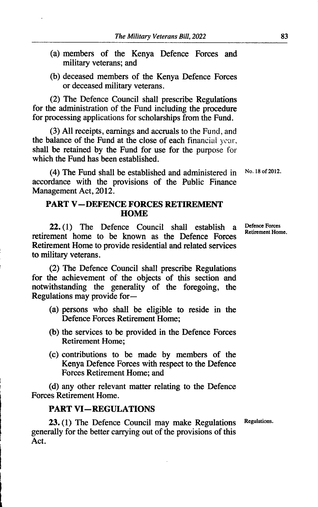- (a) members of the Kenya Defence Forces and military veterans; and
- (b) deceased members of the Kenya Defence Forces or deceased military veterans.

(2) The Defence Council shall prescribe Regulations for the administration of the Fund including the procedure for processing applications for scholarships from the Fund.

 $(3)$  All receipts, earnings and accruals to the Fund, and the balance of the Fund at the close of each financial year, shall be retained by the Fund for use for the purpose for which the Fund has been established.

(4) The Fund shall be established and administered in accordance with the provisions of the Public Finance Management Act, 2012. No. 18 of 2012.

#### PART V-DEFENCE FORCES RETIREMENT **HOME**

22. (1) The Defence Council shall establish a retirement home to be known as the Defence Forces Retirement Home to provide residential and related services to military veterans.

(2) The Defence Council shall prescribe Regulations for the achievement of the objects of this section and notwithstanding the generality of the foregoing, the Regulations may provide for-

- (a) persons who shall be eligible to reside in the Defence Forces Retirement Home;
- (b) the services to be provided in the Defence Forces Retirement Home;
- (c) contributions to be made by members of the Kenya Defence Forces with respect to the Defence Forces Retirement Home; and

(d) any other relevant matter relating to the Defence Forces Retirement Home.

#### **PART VI-REGULATIONS**

23.(1) The Defence Council may make Regulations Regulations. generally for the better carrying out of the provisions of this Act.

Defence Forces Retirement Home.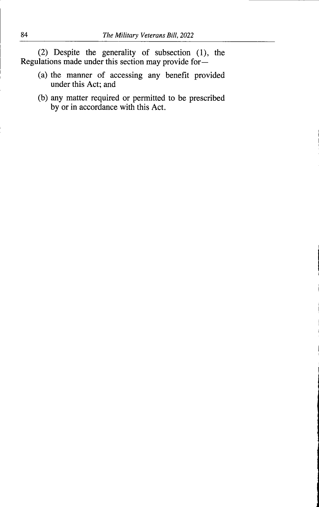(2) Despite the generality of subsection (1), the Regulations made under this section may provide for—

- (a) the manner of accessing any benefit provided under this Act; and
- (b) any matter required or permitted to be prescribed by or in accordance with this Act.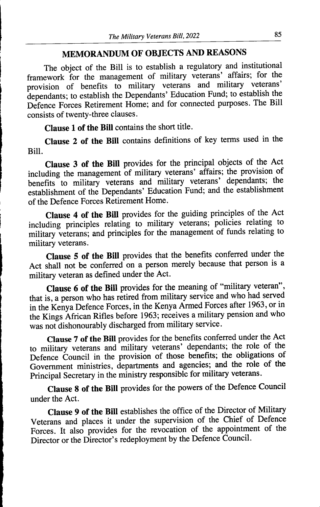### MEMORANDUM OF OBJECTSAND REASONS

The object of the Bill is to establish a regulatory and institutional framework for the management of military veterans' affairs; for the provision of benefits to military veterans and military veterans<br>Consider the stablish the dependants; to establish the Dependants' Education Fund; to establish the Defence Forces Retirement Home; and for connected purposes. The Bill consists of twenty-three clauses.

Clause 1 of the Bill contains the short title.

Clause 2 of the Bill contains definitions of key terms used in the Bill.

**Clause 3 of the Bill** provides for the principal objects of the Act including the management of military veterans' affairs; the provision of benefits to military veterans and military veterans' dependants; the establishment of the Dependants' Education Fund; and the establishment of the Defence Forces Retirement Home.

**Clause 4 of the Bill** provides for the guiding principles of the Act including principles relating to military veterans; policies relating to military veterans; and principles for the management of funds relating to military veterans.

Clause 5 of the Bill provides that the benefits conferred under the Act shall not be conferred on a person merely because that person is a military veteran as defined under the Act.

**Clause 6 of the Bill** provides for the meaning of "military veteran", that is, a person who has retired from military service and who had served in the Kenya Defence Forces, in the Kenya Armed Forces after 1963, or in the Kings African Rifles before 1963; receives a military pension and who was not dishonourably discharged from military service.

**Clause 7 of the Bill** provides for the benefits conferred under the Act to military veterans and military veterans' dependants; the role of the Defence Council in the provision of those benefits; the obligations of Government ministries, departments and agencies; and the role of the Principal Secretary in the ministry responsible for military veterans.

Clause 8 of the Bill provides for the powers of the Defence Council under the Act.

Clause 9 of the Bill establishes the office of the Director of Military Veterans and places it under the supervision of the Chief of Defence Forces. It also provides for the revocation of the appointment of the Director or the Director's redeployment by the Defence Council.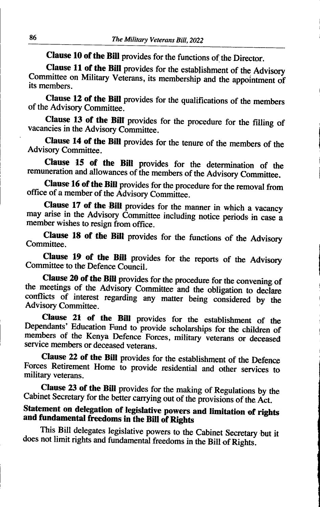Clause 10 of the Bill provides for the functions of the Director.

Clause 11 of the Bill provides for the establishment of the Advisory Committee on Military Veterans, its membership and the appointment of its members

Clause 12 of the Bill provides for the qualifications of the members of the Advisory Committee.

Clause 13 of the Bill provides for the procedure for the filling of vacancies in the Advisory Committee.

Clause 14 of the Bill provides for the tenure of the members of the Advisory Committee.

Clause 15 of the Bill provides for the determination of the remuneration and allowances of the members of the Advisory Committee.

Clause 16 of the Bill provides for the procedure for the removal from office of a member of the Advisory Committee.

Clause 17 of the Bill provides for the manner in which a vacancy may arise in the Advisory Committee including notice periods in case a member wishes to resign from office.

Clause 18 of the Bill provides for the functions of the Advisory Committee.

Clause 19 of the Bill provides for the reports of the Advisory Committee to the Defence Council.

Clause 20 of the Bill provides for the procedure for the convening of the meetings of the Advisory Committee and the obligation to declare conflicts of interest regarding any matter being considered by the Advisory Committee.

Clause 21 of the Bill provides for the establishment of the Dependants' Education Fund to provide scholarships for the children of members of the Kenya Defence Forces, mih'tary veterans or deceased service members or deceased veterans.

Clause 22 of the Bill provides for the establishment of the Defence Forces Retirement Home to provide residential and other services to military veterans.

Clause 23 of the Bill provides for the making of Regulations by the Cabinet Secretary for the better carrying out of the provisions of the Act.

### Statement on delegation of legislative powers and limitation of rights and fundamental freedoms in the Bill of Rights

This Bill delegates legislative powers to the Cabinet Secretary but it does not limit rights and fundamental freedoms in the Bill of Rights.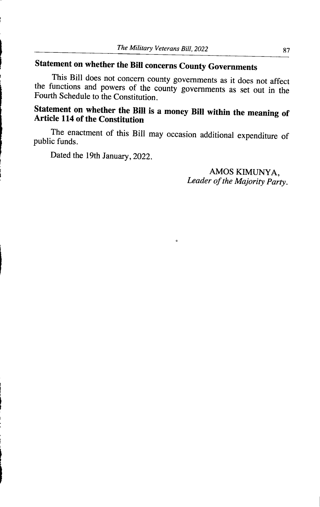# Statement on whether the Bill concerns County Governments

This Bill does not concern county governments as it does not affect the functions and powers of the county governments as set out in the Fourth Schedule to the Constitution.

### Statement on whether the Bill is a money Bill within the meaning of Ar ticle 114 of the Constitution

The enactment of this Bill may occasion additional expenditure of public funds.

 $\bullet$ 

Dated the 19th January, 2022.

AMOS KIMUNYA, Leader of the Majority Party.